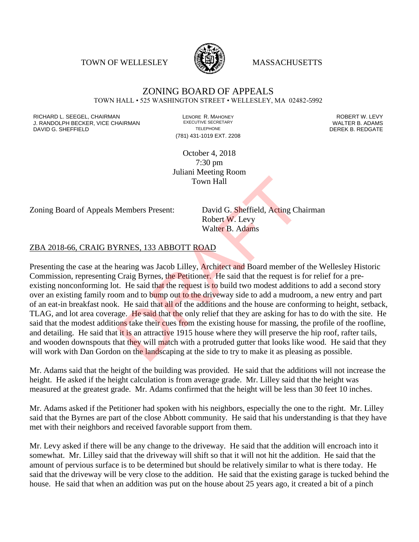TOWN OF WELLESLEY **WASSACHUSETTS** 



### ZONING BOARD OF APPEALS TOWN HALL • 525 WASHINGTON STREET • WELLESLEY, MA 02482-5992

RICHARD L. SEEGEL, CHAIRMAN LENORE R. MAHONEY ROBERT W. LEVY J. RANDOLPH BECKER, VICE CHAIRMAN EXECUTIVE SECRETARY OF TELEPHONE DAVID G. SHEFFIELD **TELEPHONE** TELEPHONE TELEPHONE **TELEPHONE DEREK B. REDGATE** 

(781) 431-1019 EXT. 2208

October 4, 2018 7:30 pm Juliani Meeting Room Town Hall

Zoning Board of Appeals Members Present: David G. Sheffield, Acting Chairman

Robert W. Levy Walter B. Adams

### ZBA 2018-66, CRAIG BYRNES, 133 ABBOTT ROAD

Presenting the case at the hearing was Jacob Lilley, Architect and Board member of the Wellesley Historic Commission, representing Craig Byrnes, the Petitioner. He said that the request is for relief for a preexisting nonconforming lot. He said that the request is to build two modest additions to add a second story over an existing family room and to bump out to the driveway side to add a mudroom, a new entry and part of an eat-in breakfast nook. He said that all of the additions and the house are conforming to height, setback, TLAG, and lot area coverage. He said that the only relief that they are asking for has to do with the site. He said that the modest additions take their cues from the existing house for massing, the profile of the roofline, and detailing. He said that it is an attractive 1915 house where they will preserve the hip roof, rafter tails, and wooden downspouts that they will match with a protruded gutter that looks like wood. He said that they will work with Dan Gordon on the landscaping at the side to try to make it as pleasing as possible. Town Hall<br>
Members Present: David G. Sheffield, Acting Ch.<br>
Robert W. Levy<br>
Walter B. Adams<br>
TRNES, 133 ABBOTT ROAD<br>
nearing was Jacob Lilley, Architect and Board member of<br>
Craig Byrnes, the Petitioner. He said that the r

Mr. Adams said that the height of the building was provided. He said that the additions will not increase the height. He asked if the height calculation is from average grade. Mr. Lilley said that the height was measured at the greatest grade. Mr. Adams confirmed that the height will be less than 30 feet 10 inches.

Mr. Adams asked if the Petitioner had spoken with his neighbors, especially the one to the right. Mr. Lilley said that the Byrnes are part of the close Abbott community. He said that his understanding is that they have met with their neighbors and received favorable support from them.

Mr. Levy asked if there will be any change to the driveway. He said that the addition will encroach into it somewhat. Mr. Lilley said that the driveway will shift so that it will not hit the addition. He said that the amount of pervious surface is to be determined but should be relatively similar to what is there today. He said that the driveway will be very close to the addition. He said that the existing garage is tucked behind the house. He said that when an addition was put on the house about 25 years ago, it created a bit of a pinch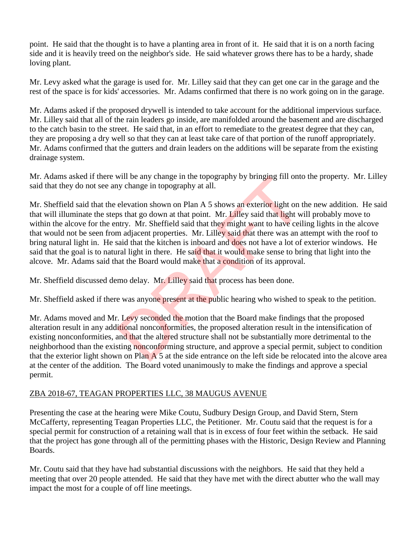point. He said that the thought is to have a planting area in front of it. He said that it is on a north facing side and it is heavily treed on the neighbor's side. He said whatever grows there has to be a hardy, shade loving plant.

Mr. Levy asked what the garage is used for. Mr. Lilley said that they can get one car in the garage and the rest of the space is for kids' accessories. Mr. Adams confirmed that there is no work going on in the garage.

Mr. Adams asked if the proposed drywell is intended to take account for the additional impervious surface. Mr. Lilley said that all of the rain leaders go inside, are manifolded around the basement and are discharged to the catch basin to the street. He said that, in an effort to remediate to the greatest degree that they can, they are proposing a dry well so that they can at least take care of that portion of the runoff appropriately. Mr. Adams confirmed that the gutters and drain leaders on the additions will be separate from the existing drainage system.

Mr. Adams asked if there will be any change in the topography by bringing fill onto the property. Mr. Lilley said that they do not see any change in topography at all.

Mr. Sheffield said that the elevation shown on Plan A 5 shows an exterior light on the new addition. He said that will illuminate the steps that go down at that point. Mr. Lilley said that light will probably move to within the alcove for the entry. Mr. Sheffield said that they might want to have ceiling lights in the alcove that would not be seen from adjacent properties. Mr. Lilley said that there was an attempt with the roof to bring natural light in. He said that the kitchen is inboard and does not have a lot of exterior windows. He said that the goal is to natural light in there. He said that it would make sense to bring that light into the alcove. Mr. Adams said that the Board would make that a condition of its approval. will be any change in the topography by bringing fill ontty change in topography at all.<br>
elevation shown on Plan A 5 shows an exterior light on the shat go down at that point. Mr. Lilley said that light w<br>
mr. Mr. Sheffi

Mr. Sheffield discussed demo delay. Mr. Lilley said that process has been done.

Mr. Sheffield asked if there was anyone present at the public hearing who wished to speak to the petition.

Mr. Adams moved and Mr. Levy seconded the motion that the Board make findings that the proposed alteration result in any additional nonconformities, the proposed alteration result in the intensification of existing nonconformities, and that the altered structure shall not be substantially more detrimental to the neighborhood than the existing nonconforming structure, and approve a special permit, subject to condition that the exterior light shown on Plan  $\overline{A}$  5 at the side entrance on the left side be relocated into the alcove area at the center of the addition. The Board voted unanimously to make the findings and approve a special permit.

# ZBA 2018-67, TEAGAN PROPERTIES LLC, 38 MAUGUS AVENUE

Presenting the case at the hearing were Mike Coutu, Sudbury Design Group, and David Stern, Stern McCafferty, representing Teagan Properties LLC, the Petitioner. Mr. Coutu said that the request is for a special permit for construction of a retaining wall that is in excess of four feet within the setback. He said that the project has gone through all of the permitting phases with the Historic, Design Review and Planning Boards.

Mr. Coutu said that they have had substantial discussions with the neighbors. He said that they held a meeting that over 20 people attended. He said that they have met with the direct abutter who the wall may impact the most for a couple of off line meetings.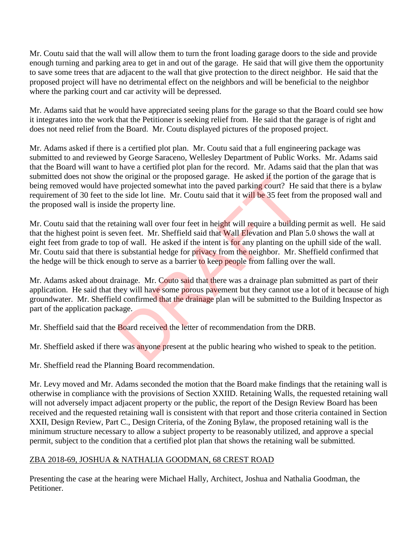Mr. Coutu said that the wall will allow them to turn the front loading garage doors to the side and provide enough turning and parking area to get in and out of the garage. He said that will give them the opportunity to save some trees that are adjacent to the wall that give protection to the direct neighbor. He said that the proposed project will have no detrimental effect on the neighbors and will be beneficial to the neighbor where the parking court and car activity will be depressed.

Mr. Adams said that he would have appreciated seeing plans for the garage so that the Board could see how it integrates into the work that the Petitioner is seeking relief from. He said that the garage is of right and does not need relief from the Board. Mr. Coutu displayed pictures of the proposed project.

Mr. Adams asked if there is a certified plot plan. Mr. Coutu said that a full engineering package was submitted to and reviewed by George Saraceno, Wellesley Department of Public Works. Mr. Adams said that the Board will want to have a certified plot plan for the record. Mr. Adams said that the plan that was submitted does not show the original or the proposed garage. He asked if the portion of the garage that is being removed would have projected somewhat into the paved parking court? He said that there is a bylaw requirement of 30 feet to the side lot line. Mr. Coutu said that it will be 35 feet from the proposed wall and the proposed wall is inside the property line.

Mr. Coutu said that the retaining wall over four feet in height will require a building permit as well. He said that the highest point is seven feet. Mr. Sheffield said that Wall Elevation and Plan 5.0 shows the wall at eight feet from grade to top of wall. He asked if the intent is for any planting on the uphill side of the wall. Mr. Coutu said that there is substantial hedge for privacy from the neighbor. Mr. Sheffield confirmed that the hedge will be thick enough to serve as a barrier to keep people from falling over the wall. ne original or the proposed garage. He asked if the porticle projected somewhat into the paved parking court? He she side lot line. Mr. Coutu said that it will be 35 feet from the property line.<br>
aining wall over four feet

Mr. Adams asked about drainage. Mr. Couto said that there was a drainage plan submitted as part of their application. He said that they will have some porous pavement but they cannot use a lot of it because of high groundwater. Mr. Sheffield confirmed that the drainage plan will be submitted to the Building Inspector as part of the application package.

Mr. Sheffield said that the Board received the letter of recommendation from the DRB.

Mr. Sheffield asked if there was anyone present at the public hearing who wished to speak to the petition.

Mr. Sheffield read the Planning Board recommendation.

Mr. Levy moved and Mr. Adams seconded the motion that the Board make findings that the retaining wall is otherwise in compliance with the provisions of Section XXIID. Retaining Walls, the requested retaining wall will not adversely impact adjacent property or the public, the report of the Design Review Board has been received and the requested retaining wall is consistent with that report and those criteria contained in Section XXII, Design Review, Part C., Design Criteria, of the Zoning Bylaw, the proposed retaining wall is the minimum structure necessary to allow a subject property to be reasonably utilized, and approve a special permit, subject to the condition that a certified plot plan that shows the retaining wall be submitted.

# ZBA 2018-69, JOSHUA & NATHALIA GOODMAN, 68 CREST ROAD

Presenting the case at the hearing were Michael Hally, Architect, Joshua and Nathalia Goodman, the Petitioner.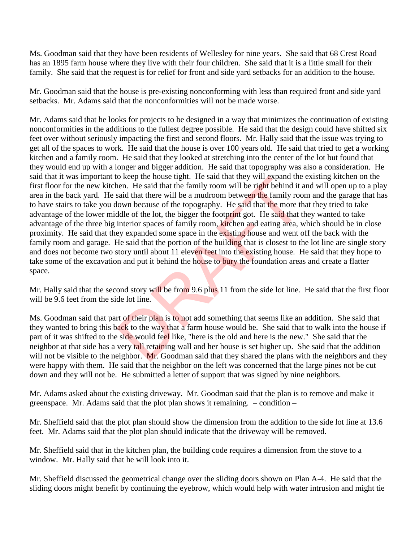Ms. Goodman said that they have been residents of Wellesley for nine years. She said that 68 Crest Road has an 1895 farm house where they live with their four children. She said that it is a little small for their family. She said that the request is for relief for front and side yard setbacks for an addition to the house.

Mr. Goodman said that the house is pre-existing nonconforming with less than required front and side yard setbacks. Mr. Adams said that the nonconformities will not be made worse.

Mr. Adams said that he looks for projects to be designed in a way that minimizes the continuation of existing nonconformities in the additions to the fullest degree possible. He said that the design could have shifted six feet over without seriously impacting the first and second floors. Mr. Hally said that the issue was trying to get all of the spaces to work. He said that the house is over 100 years old. He said that tried to get a working kitchen and a family room. He said that they looked at stretching into the center of the lot but found that they would end up with a longer and bigger addition. He said that topography was also a consideration. He said that it was important to keep the house tight. He said that they will expand the existing kitchen on the first floor for the new kitchen. He said that the family room will be right behind it and will open up to a play area in the back yard. He said that there will be a mudroom between the family room and the garage that has to have stairs to take you down because of the topography. He said that the more that they tried to take advantage of the lower middle of the lot, the bigger the footprint got. He said that they wanted to take advantage of the three big interior spaces of family room, kitchen and eating area, which should be in close proximity. He said that they expanded some space in the existing house and went off the back with the family room and garage. He said that the portion of the building that is closest to the lot line are single story and does not become two story until about 11 eleven feet into the existing house. He said that they hope to take some of the excavation and put it behind the house to bury the foundation areas and create a flatter space. o keep the nouse tight. He said that they will expand the leader. He said that the family room will be right behind it asid that there will be a mudroom between the family rood lown because of the topography. He said that

Mr. Hally said that the second story will be from 9.6 plus 11 from the side lot line. He said that the first floor will be 9.6 feet from the side lot line.

Ms. Goodman said that part of their plan is to not add something that seems like an addition. She said that they wanted to bring this back to the way that a farm house would be. She said that to walk into the house if part of it was shifted to the side would feel like, "here is the old and here is the new." She said that the neighbor at that side has a very tall retaining wall and her house is set higher up. She said that the addition will not be visible to the neighbor. Mr. Goodman said that they shared the plans with the neighbors and they were happy with them. He said that the neighbor on the left was concerned that the large pines not be cut down and they will not be. He submitted a letter of support that was signed by nine neighbors.

Mr. Adams asked about the existing driveway. Mr. Goodman said that the plan is to remove and make it greenspace. Mr. Adams said that the plot plan shows it remaining. – condition –

Mr. Sheffield said that the plot plan should show the dimension from the addition to the side lot line at 13.6 feet. Mr. Adams said that the plot plan should indicate that the driveway will be removed.

Mr. Sheffield said that in the kitchen plan, the building code requires a dimension from the stove to a window. Mr. Hally said that he will look into it.

Mr. Sheffield discussed the geometrical change over the sliding doors shown on Plan A-4. He said that the sliding doors might benefit by continuing the eyebrow, which would help with water intrusion and might tie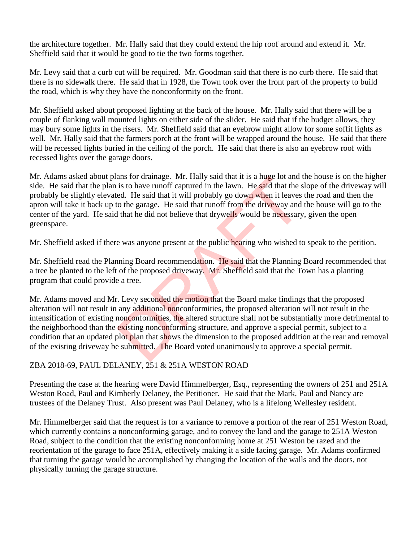the architecture together. Mr. Hally said that they could extend the hip roof around and extend it. Mr. Sheffield said that it would be good to tie the two forms together.

Mr. Levy said that a curb cut will be required. Mr. Goodman said that there is no curb there. He said that there is no sidewalk there. He said that in 1928, the Town took over the front part of the property to build the road, which is why they have the nonconformity on the front.

Mr. Sheffield asked about proposed lighting at the back of the house. Mr. Hally said that there will be a couple of flanking wall mounted lights on either side of the slider. He said that if the budget allows, they may bury some lights in the risers. Mr. Sheffield said that an eyebrow might allow for some soffit lights as well. Mr. Hally said that the farmers porch at the front will be wrapped around the house. He said that there will be recessed lights buried in the ceiling of the porch. He said that there is also an eyebrow roof with recessed lights over the garage doors.

Mr. Adams asked about plans for drainage. Mr. Hally said that it is a huge lot and the house is on the higher side. He said that the plan is to have runoff captured in the lawn. He said that the slope of the driveway will probably be slightly elevated. He said that it will probably go down when it leaves the road and then the apron will take it back up to the garage. He said that runoff from the driveway and the house will go to the center of the yard. He said that he did not believe that drywells would be necessary, given the open greenspace.

Mr. Sheffield asked if there was anyone present at the public hearing who wished to speak to the petition.

Mr. Sheffield read the Planning Board recommendation. He said that the Planning Board recommended that a tree be planted to the left of the proposed driveway. Mr. Sheffield said that the Town has a planting program that could provide a tree.

Mr. Adams moved and Mr. Levy seconded the motion that the Board make findings that the proposed alteration will not result in any additional nonconformities, the proposed alteration will not result in the intensification of existing nonconformities, the altered structure shall not be substantially more detrimental to the neighborhood than the existing nonconforming structure, and approve a special permit, subject to a condition that an updated plot plan that shows the dimension to the proposed addition at the rear and removal of the existing driveway be submitted. The Board voted unanimously to approve a special permit. ans for drainage. Mr. Hally said that it is a nuge lot and is to have runoff captured in the lawn. He said that the sed. He said that it will probably go down when it leaves to the garage. He said that runoff from the driv

# ZBA 2018-69, PAUL DELANEY, 251 & 251A WESTON ROAD

Presenting the case at the hearing were David Himmelberger, Esq., representing the owners of 251 and 251A Weston Road, Paul and Kimberly Delaney, the Petitioner. He said that the Mark, Paul and Nancy are trustees of the Delaney Trust. Also present was Paul Delaney, who is a lifelong Wellesley resident.

Mr. Himmelberger said that the request is for a variance to remove a portion of the rear of 251 Weston Road, which currently contains a nonconforming garage, and to convey the land and the garage to 251A Weston Road, subject to the condition that the existing nonconforming home at 251 Weston be razed and the reorientation of the garage to face 251A, effectively making it a side facing garage. Mr. Adams confirmed that turning the garage would be accomplished by changing the location of the walls and the doors, not physically turning the garage structure.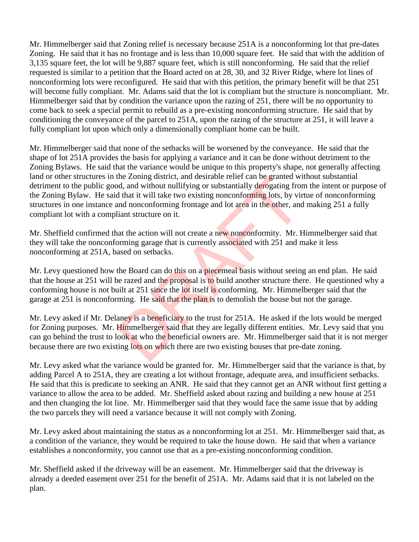Mr. Himmelberger said that Zoning relief is necessary because 251A is a nonconforming lot that pre-dates Zoning. He said that it has no frontage and is less than 10,000 square feet. He said that with the addition of 3,135 square feet, the lot will be 9,887 square feet, which is still nonconforming. He said that the relief requested is similar to a petition that the Board acted on at 28, 30, and 32 River Ridge, where lot lines of nonconforming lots were reconfigured. He said that with this petition, the primary benefit will be that 251 will become fully compliant. Mr. Adams said that the lot is compliant but the structure is noncompliant. Mr. Himmelberger said that by condition the variance upon the razing of 251, there will be no opportunity to come back to seek a special permit to rebuild as a pre-existing nonconforming structure. He said that by conditioning the conveyance of the parcel to 251A, upon the razing of the structure at 251, it will leave a fully compliant lot upon which only a dimensionally compliant home can be built.

Mr. Himmelberger said that none of the setbacks will be worsened by the conveyance. He said that the shape of lot 251A provides the basis for applying a variance and it can be done without detriment to the Zoning Bylaws. He said that the variance would be unique to this property's shape, not generally affecting land or other structures in the Zoning district, and desirable relief can be granted without substantial detriment to the public good, and without nullifying or substantially derogating from the intent or purpose of the Zoning Bylaw. He said that it will take two existing nonconforming lots, by virtue of nonconforming structures in one instance and nonconforming frontage and lot area in the other, and making 251 a fully compliant lot with a compliant structure on it. the Zoning district, and desirable relief can be granted with detail and without nullifying or substantially derogating from<br>that it will take two existing nonconforming lots, by vir<br>and nonconforming frontage and lot area

Mr. Sheffield confirmed that the action will not create a new nonconformity. Mr. Himmelberger said that they will take the nonconforming garage that is currently associated with 251 and make it less nonconforming at 251A, based on setbacks.

Mr. Levy questioned how the Board can do this on a piecemeal basis without seeing an end plan. He said that the house at 251 will be razed and the proposal is to build another structure there. He questioned why a conforming house is not built at 251 since the lot itself is conforming. Mr. Himmelberger said that the garage at 251 is nonconforming. He said that the plan is to demolish the house but not the garage.

Mr. Levy asked if Mr. Delaney is a beneficiary to the trust for 251A. He asked if the lots would be merged for Zoning purposes. Mr. Himmelberger said that they are legally different entities. Mr. Levy said that you can go behind the trust to look at who the beneficial owners are. Mr. Himmelberger said that it is not merger because there are two existing lots on which there are two existing houses that pre-date zoning.

Mr. Levy asked what the variance would be granted for. Mr. Himmelberger said that the variance is that, by adding Parcel A to 251A, they are creating a lot without frontage, adequate area, and insufficient setbacks. He said that this is predicate to seeking an ANR. He said that they cannot get an ANR without first getting a variance to allow the area to be added. Mr. Sheffield asked about razing and building a new house at 251 and then changing the lot line. Mr. Himmelberger said that they would face the same issue that by adding the two parcels they will need a variance because it will not comply with Zoning.

Mr. Levy asked about maintaining the status as a nonconforming lot at 251. Mr. Himmelberger said that, as a condition of the variance, they would be required to take the house down. He said that when a variance establishes a nonconformity, you cannot use that as a pre-existing nonconforming condition.

Mr. Sheffield asked if the driveway will be an easement. Mr. Himmelberger said that the driveway is already a deeded easement over 251 for the benefit of 251A. Mr. Adams said that it is not labeled on the plan.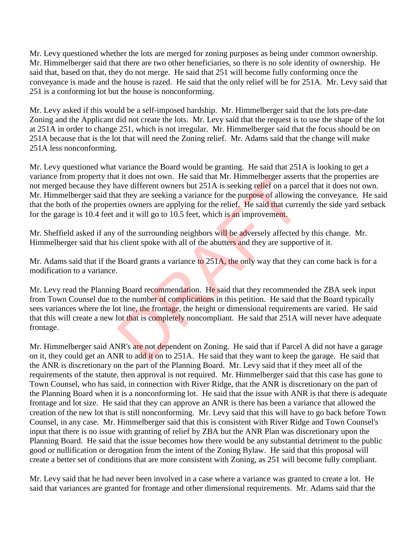Mr. Levy questioned whether the lots are merged for zoning purposes as being under common ownership. Mr. Himmelberger said that there are two other beneficiaries, so there is no sole identity of ownership. He said that, based on that, they do not merge. He said that 251 will become fully conforming once the conveyance is made and the house is razed. He said that the only relief will be for 251A. Mr. Levy said that 251 is a conforming lot but the house is nonconforming.

Mr. Levy asked if this would be a self-imposed hardship. Mr. Himmelberger said that the lots pre-date Zoning and the Applicant did not create the lots. Mr. Levy said that the request is to use the shape of the lot at 251A in order to change 251, which is not irregular. Mr. Himmelberger said that the focus should be on 251A because that is the lot that will need the Zoning relief. Mr. Adams said that the change will make 251A less nonconforming.

Mr. Levy questioned what variance the Board would be granting. He said that 251A is looking to get a variance from property that it does not own. He said that Mr. Himmelberger asserts that the properties are not merged because they have different owners but 251A is seeking relief on a parcel that it does not own. Mr. Himmelberger said that they are seeking a variance for the purpose of allowing the conveyance. He said that the both of the properties owners are applying for the relief. He said that currently the side yard setback for the garage is 10.4 feet and it will go to 10.5 feet, which is an improvement.

Mr. Sheffield asked if any of the surrounding neighbors will be adversely affected by this change. Mr. Himmelberger said that his client spoke with all of the abutters and they are supportive of it.

Mr. Adams said that if the Board grants a variance to 251A, the only way that they can come back is for a modification to a variance.

Mr. Levy read the Planning Board recommendation. He said that they recommended the ZBA seek input from Town Counsel due to the number of complications in this petition. He said that the Board typically sees variances where the lot line, the frontage, the height or dimensional requirements are varied. He said that this will create a new lot that is completely noncompliant. He said that 251A will never have adequate frontage. It is does not own. He said that Mr. Himmelberger asserts<br>ave different owners but 251A is seeking relief on a parce<br>at they are seeking a variance for the purpose of allowing<br>ies owners are applying for the relief. He sai

Mr. Himmelberger said ANR's are not dependent on Zoning. He said that if Parcel A did not have a garage on it, they could get an ANR to add it on to 251A. He said that they want to keep the garage. He said that the ANR is discretionary on the part of the Planning Board. Mr. Levy said that if they meet all of the requirements of the statute, then approval is not required. Mr. Himmelberger said that this case has gone to Town Counsel, who has said, in connection with River Ridge, that the ANR is discretionary on the part of the Planning Board when it is a nonconforming lot. He said that the issue with ANR is that there is adequate frontage and lot size. He said that they can approve an ANR is there has been a variance that allowed the creation of the new lot that is still nonconforming. Mr. Levy said that this will have to go back before Town Counsel, in any case. Mr. Himmelberger said that this is consistent with River Ridge and Town Counsel's input that there is no issue with granting of relief by ZBA but the ANR Plan was discretionary upon the Planning Board. He said that the issue becomes how there would be any substantial detriment to the public good or nullification or derogation from the intent of the Zoning Bylaw. He said that this proposal will create a better set of conditions that are more consistent with Zoning, as 251 will become fully compliant.

Mr. Levy said that he had never been involved in a case where a variance was granted to create a lot. He said that variances are granted for frontage and other dimensional requirements. Mr. Adams said that the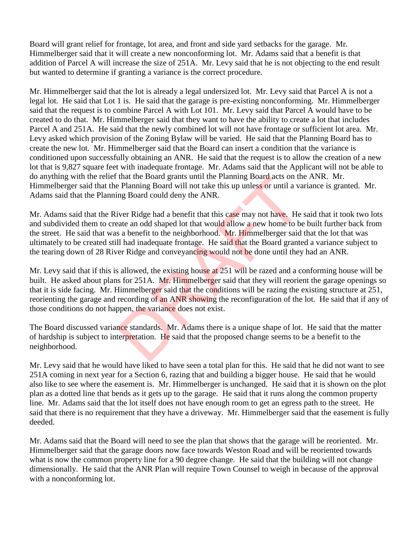Board will grant relief for frontage, lot area, and front and side yard setbacks for the garage. Mr. Himmelberger said that it will create a new nonconforming lot. Mr. Adams said that a benefit is that addition of Parcel A will increase the size of 251A. Mr. Levy said that he is not objecting to the end result but wanted to determine if granting a variance is the correct procedure.

Mr. Himmelberger said that the lot is already a legal undersized lot. Mr. Levy said that Parcel A is not a legal lot. He said that Lot 1 is. He said that the garage is pre-existing nonconforming. Mr. Himmelberger said that the request is to combine Parcel A with Lot 101. Mr. Levy said that Parcel A would have to be created to do that. Mr. Himmelberger said that they want to have the ability to create a lot that includes Parcel A and 251A. He said that the newly combined lot will not have frontage or sufficient lot area. Mr. Levy asked which provision of the Zoning Bylaw will be varied. He said that the Planning Board has to create the new lot. Mr. Himmelberger said that the Board can insert a condition that the variance is conditioned upon successfully obtaining an ANR. He said that the request is to allow the creation of a new lot that is 9,827 square feet with inadequate frontage. Mr. Adams said that the Applicant will not be able to do anything with the relief that the Board grants until the Planning Board acts on the ANR. Mr. Himmelberger said that the Planning Board will not take this up unless or until a variance is granted. Mr. Adams said that the Planning Board could deny the ANR.

Mr. Adams said that the River Ridge had a benefit that this case may not have. He said that it took two lots and subdivided them to create an odd shaped lot that would allow a new home to be built further back from the street. He said that was a benefit to the neighborhood. Mr. Himmelberger said that the lot that was ultimately to be created still had inadequate frontage. He said that the Board granted a variance subject to the tearing down of 28 River Ridge and conveyancing would not be done until they had an ANR. that the Board grants until the Planning Board acts on the Planning Board acts on the Planning Board will not take this up unless or until a value Planning Board could deny the ANR.<br>
iver Ridge had a benefit that this case

Mr. Levy said that if this is allowed, the existing house at 251 will be razed and a conforming house will be built. He asked about plans for 251A. Mr. Himmelberger said that they will reorient the garage openings so that it is side facing. Mr. Himmelberger said that the conditions will be razing the existing structure at 251, reorienting the garage and recording of an ANR showing the reconfiguration of the lot. He said that if any of those conditions do not happen, the variance does not exist.

The Board discussed variance standards. Mr. Adams there is a unique shape of lot. He said that the matter of hardship is subject to interpretation. He said that the proposed change seems to be a benefit to the neighborhood.

Mr. Levy said that he would have liked to have seen a total plan for this. He said that he did not want to see 251A coming in next year for a Section 6, razing that and building a bigger house. He said that he would also like to see where the easement is. Mr. Himmelberger is unchanged. He said that it is shown on the plot plan as a dotted line that bends as it gets up to the garage. He said that it runs along the common property line. Mr. Adams said that the lot itself does not have enough room to get an egress path to the street. He said that there is no requirement that they have a driveway. Mr. Himmelberger said that the easement is fully deeded.

Mr. Adams said that the Board will need to see the plan that shows that the garage will be reoriented. Mr. Himmelberger said that the garage doors now face towards Weston Road and will be reoriented towards what is now the common property line for a 90 degree change. He said that the building will not change dimensionally. He said that the ANR Plan will require Town Counsel to weigh in because of the approval with a nonconforming lot.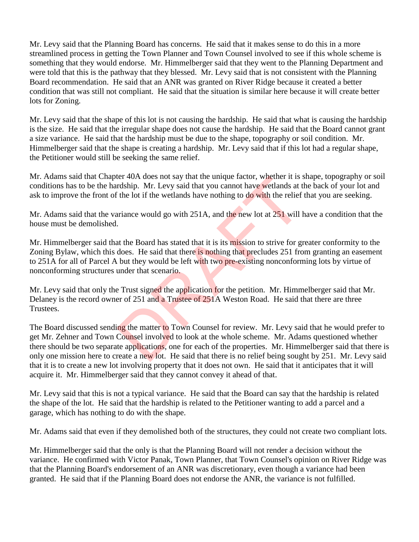Mr. Levy said that the Planning Board has concerns. He said that it makes sense to do this in a more streamlined process in getting the Town Planner and Town Counsel involved to see if this whole scheme is something that they would endorse. Mr. Himmelberger said that they went to the Planning Department and were told that this is the pathway that they blessed. Mr. Levy said that is not consistent with the Planning Board recommendation. He said that an ANR was granted on River Ridge because it created a better condition that was still not compliant. He said that the situation is similar here because it will create better lots for Zoning.

Mr. Levy said that the shape of this lot is not causing the hardship. He said that what is causing the hardship is the size. He said that the irregular shape does not cause the hardship. He said that the Board cannot grant a size variance. He said that the hardship must be due to the shape, topography or soil condition. Mr. Himmelberger said that the shape is creating a hardship. Mr. Levy said that if this lot had a regular shape, the Petitioner would still be seeking the same relief.

Mr. Adams said that Chapter 40A does not say that the unique factor, whether it is shape, topography or soil conditions has to be the hardship. Mr. Levy said that you cannot have wetlands at the back of your lot and ask to improve the front of the lot if the wetlands have nothing to do with the relief that you are seeking.

Mr. Adams said that the variance would go with 251A, and the new lot at 251 will have a condition that the house must be demolished.

Mr. Himmelberger said that the Board has stated that it is its mission to strive for greater conformity to the Zoning Bylaw, which this does. He said that there is nothing that precludes 251 from granting an easement to 251A for all of Parcel A but they would be left with two pre-existing nonconforming lots by virtue of nonconforming structures under that scenario.

Mr. Levy said that only the Trust signed the application for the petition. Mr. Himmelberger said that Mr. Delaney is the record owner of 251 and a Trustee of 251A Weston Road. He said that there are three Trustees.

The Board discussed sending the matter to Town Counsel for review. Mr. Levy said that he would prefer to get Mr. Zehner and Town Counsel involved to look at the whole scheme. Mr. Adams questioned whether there should be two separate applications, one for each of the properties. Mr. Himmelberger said that there is only one mission here to create a new lot. He said that there is no relief being sought by 251. Mr. Levy said that it is to create a new lot involving property that it does not own. He said that it anticipates that it will acquire it. Mr. Himmelberger said that they cannot convey it ahead of that. ther 40A does not say that the unique ractor, whether it is a<br>rdship. Mr. Levy said that you cannot have wetlands at t<br>the lot if the wetlands have nothing to **do** with the relief<br>ariance would go with 251A, and the new lo

Mr. Levy said that this is not a typical variance. He said that the Board can say that the hardship is related the shape of the lot. He said that the hardship is related to the Petitioner wanting to add a parcel and a garage, which has nothing to do with the shape.

Mr. Adams said that even if they demolished both of the structures, they could not create two compliant lots.

Mr. Himmelberger said that the only is that the Planning Board will not render a decision without the variance. He confirmed with Victor Panak, Town Planner, that Town Counsel's opinion on River Ridge was that the Planning Board's endorsement of an ANR was discretionary, even though a variance had been granted. He said that if the Planning Board does not endorse the ANR, the variance is not fulfilled.